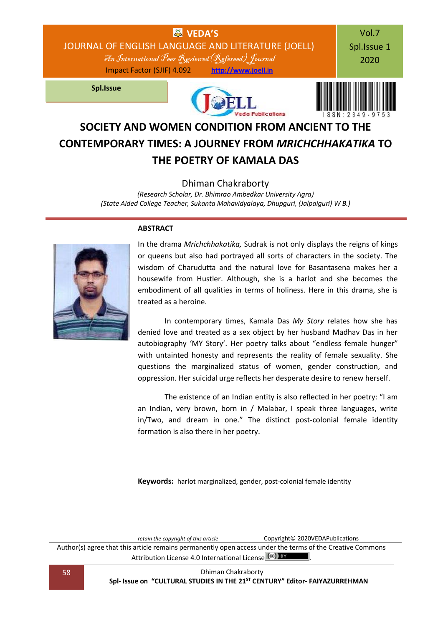

# **SOCIETY AND WOMEN CONDITION FROM ANCIENT TO THE CONTEMPORARY TIMES: A JOURNEY FROM** *MRICHCHHAKATIKA* **TO THE POETRY OF KAMALA DAS**

### Dhiman Chakraborty

*(Research Scholar, Dr. Bhimrao Ambedkar University Agra) (State Aided College Teacher, Sukanta Mahavidyalaya, Dhupguri, (Jalpaiguri) W B.)*

### **ABSTRACT**



In the drama *Mrichchhakatika,* Sudrak is not only displays the reigns of kings or queens but also had portrayed all sorts of characters in the society. The wisdom of Charudutta and the natural love for Basantasena makes her a housewife from Hustler. Although, she is a harlot and she becomes the embodiment of all qualities in terms of holiness. Here in this drama, she is treated as a heroine.

In contemporary times, Kamala Das *My Story* relates how she has denied love and treated as a sex object by her husband Madhav Das in her autobiography 'MY Story'. Her poetry talks about "endless female hunger" with untainted honesty and represents the reality of female sexuality. She questions the marginalized status of women, gender construction, and oppression. Her suicidal urge reflects her desperate desire to renew herself.

The existence of an Indian entity is also reflected in her poetry: "I am an Indian, very brown, born in / Malabar, I speak three languages, write in/Two, and dream in one." The distinct post-colonial female identity formation is also there in her poetry.

**Keywords:** harlot marginalized, gender, post-colonial female identity

*retain the copyright of this article* Copyright© 2020VEDAPublications Author(s) agree that this article remains permanently open access under the terms of the Creative Commons Attribution Lic[e](http://creativecommons.org/licenses/by/4.0/)nse 4.0 International License (cc) BY

58 Dhiman Chakraborty **Spl- Issue on "CULTURAL STUDIES IN THE 21ST CENTURY" Editor- FAIYAZURREHMAN**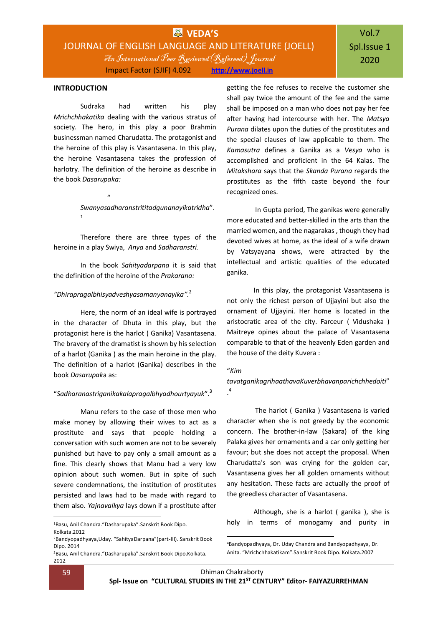### **INTRODUCTION**

Sudraka had written his play *Mrichchhakatika* dealing with the various stratus of society. The hero, in this play a poor Brahmin businessman named Charudatta. The protagonist and the heroine of this play is Vasantasena. In this play, the heroine Vasantasena takes the profession of harlotry. The definition of the heroine as describe in the book *Dasarupaka:*

> *Swanyasadharanstrititadgunanayikatridha*". 1

Therefore there are three types of the heroine in a play Swiya, *Anya* and *Sadharanstri.*

In the book *Sahityadarpana* it is said that the definition of the heroine of the *Prakarana:*

### *"Dhirapragalbhisyadveshyasamanyanayika".* 2

 $\mathbf{u}$ 

Here, the norm of an ideal wife is portrayed in the character of Dhuta in this play, but the protagonist here is the harlot ( Ganika) Vasantasena. The bravery of the dramatist is shown by his selection of a harlot (Ganika ) as the main heroine in the play. The definition of a harlot (Ganika) describes in the book *Dasarupak*a as:

### "*Sadharanastriganikakalapragalbhyadhourtyayuk*". 3

Manu refers to the case of those men who make money by allowing their wives to act as a prostitute and says that people holding a conversation with such women are not to be severely punished but have to pay only a small amount as a fine. This clearly shows that Manu had a very low opinion about such women. But in spite of such severe condemnations, the institution of prostitutes persisted and laws had to be made with regard to them also. *Yajnavalkya* lays down if a prostitute after

getting the fee refuses to receive the customer she shall pay twice the amount of the fee and the same shall be imposed on a man who does not pay her fee after having had intercourse with her. The *Matsya Purana* dilates upon the duties of the prostitutes and the special clauses of law applicable to them. The *Kamasutra* defines a Ganika as a *Vesya* who is accomplished and proficient in the 64 Kalas. The *Mitakshara* says that the *Skanda Purana* regards the prostitutes as the fifth caste beyond the four recognized ones.

In Gupta period, The ganikas were generally more educated and better-skilled in the arts than the married women, and the nagarakas , though they had devoted wives at home, as the ideal of a wife drawn by Vatsyayana shows, were attracted by the intellectual and artistic qualities of the educated ganika.

In this play, the protagonist Vasantasena is not only the richest person of Ujjayini but also the ornament of Ujjayini. Her home is located in the aristocratic area of the city. Farceur ( Vidushaka ) Maitreye opines about the palace of Vasantasena comparable to that of the heavenly Eden garden and the house of the deity Kuvera :

### "*Kim*

### *tavatganikagrihaathavaKuverbhavanparichchhedoiti*" . 4

The harlot ( Ganika ) Vasantasena is varied character when she is not greedy by the economic concern. The brother-in-law (Sakara) of the king Palaka gives her ornaments and a car only getting her favour; but she does not accept the proposal. When Charudatta's son was crying for the golden car, Vasantasena gives her all golden ornaments without any hesitation. These facts are actually the proof of the greedless character of Vasantasena.

Although, she is a harlot ( ganika ), she is holy in terms of monogamy and purity in

-

1

<sup>1</sup>Basu, Anil Chandra."Dasharupaka".Sanskrit Book Dipo. Kolkata.2012

<sup>2</sup>Bandyopadhyaya,Uday. "SahityaDarpana"(part-III). Sanskrit Book Dipo. 2014

<sup>3</sup>Basu, Anil Chandra."Dasharupaka".Sanskrit Book Dipo.Kolkata. 2012

<sup>4</sup>Bandyopadhyaya, Dr. Uday Chandra and Bandyopadhyaya, Dr. Anita. "Mrichchhakatikam".Sanskrit Book Dipo. Kolkata.2007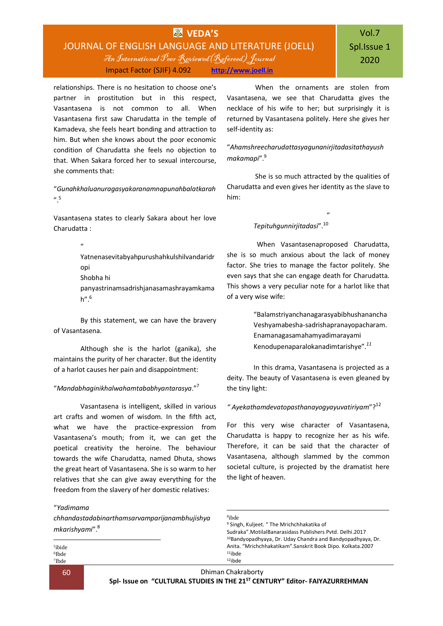### **VEDA'S** JOURNAL OF ENGLISH LANGUAGE AND LITERATURE (JOELL) An International Peer Reviewed(Refereed) Journal Impact Factor (SJIF) 4.092 **[http://www.joell.in](http://www.joell.in/)**

# Vol.7 Spl.Issue 1 2020

relationships. There is no hesitation to choose one's partner in prostitution but in this respect, Vasantasena is not common to all. When Vasantasena first saw Charudatta in the temple of Kamadeva, she feels heart bonding and attraction to him. But when she knows about the poor economic condition of Charudatta she feels no objection to that. When Sakara forced her to sexual intercourse, she comments that:

"*Gunahkhaluanuragasyakaranamnapunahbalatkarah* ". 5

Vasantasena states to clearly Sakara about her love Charudatta :

> $^{\prime\prime}$ Yatnenasevitabyahpurushahkulshilvandaridr opi Shobha hi panyastrinamsadrishjanasamashrayamkama  $h''$ <sup>6</sup>

By this statement, we can have the bravery of Vasantasena.

Although she is the harlot (ganika), she maintains the purity of her character. But the identity of a harlot causes her pain and disappointment:

### "*Mandabhaginikhalwahamtababhyantarasya*."<sup>7</sup>

Vasantasena is intelligent, skilled in various art crafts and women of wisdom. In the fifth act, what we have the practice-expression from Vasantasena's mouth; from it, we can get the poetical creativity the heroine. The behaviour towards the wife Charudatta, named Dhuta, shows the great heart of Vasantasena. She is so warm to her relatives that she can give away everything for the freedom from the slavery of her domestic relatives:

#### "*Yadimama*

*chhandastadabinarthamsarvamparijanambhujishya mkarishyami*". 8

5 ibide 6 Ibde 7 Ibde

1

When the ornaments are stolen from Vasantasena, we see that Charudatta gives the necklace of his wife to her; but surprisingly it is returned by Vasantasena politely. Here she gives her self-identity as:

"*Ahamshreecharudattasyagunanirjitadasitathayush makamapi*". 9

She is so much attracted by the qualities of Charudatta and even gives her identity as the slave to him:

 $"$ 

### *Tepituhgunnirjitadasi*". 10

 When Vasantasenaproposed Charudatta, she is so much anxious about the lack of money factor. She tries to manage the factor politely. She even says that she can engage death for Charudatta. This shows a very peculiar note for a harlot like that of a very wise wife:

> "Balamstriyanchanagarasyabibhushanancha Veshyamabesha-sadrishapranayopacharam. Enamanagasamahamyadimarayami Kenodupenaparalokanadimtarishye".*<sup>11</sup>*

In this drama, Vasantasena is projected as a deity. The beauty of Vasantasena is even gleaned by the tiny light:

### *" Ayekathamdevatopasthanayogyayuvatiriyam*"? 12

For this very wise character of Vasantasena, Charudatta is happy to recognize her as his wife. Therefore, it can be said that the character of Vasantasena, although slammed by the common societal culture, is projected by the dramatist here the light of heaven.

| <sup>8</sup> ibde                                                      |  |
|------------------------------------------------------------------------|--|
| <sup>9</sup> Singh, Kuljeet. "The Mrichchhakatika of                   |  |
| Sudraka". MotilalBanarasidass Publishers Pytd. Delhi.2017              |  |
| <sup>10</sup> Bandyopadhyaya, Dr. Uday Chandra and Bandyopadhyaya, Dr. |  |
| Anita. "Mrichchhakatikam". Sanskrit Book Dipo. Kolkata. 2007           |  |
| $11$ ihde                                                              |  |
| $12$ ihde                                                              |  |

1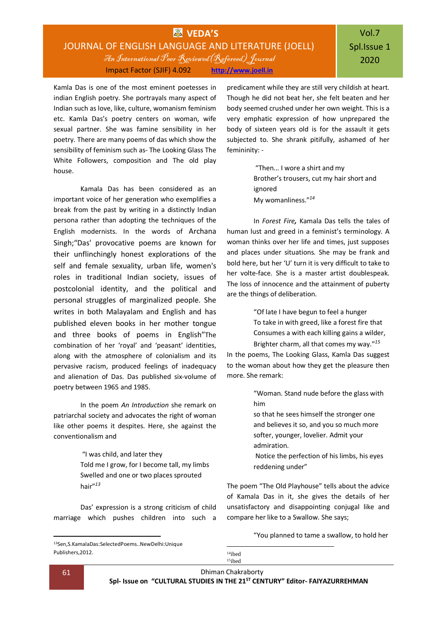### **WAS** VEDA'S JOURNAL OF ENGLISH LANGUAGE AND LITERATURE (JOELL) An International Peer Reviewed(Refereed) Journal Impact Factor (SJIF) 4.092 **[http://www.joell.in](http://www.joell.in/)**

Kamla Das is one of the most eminent poetesses in indian English poetry. She portrayals many aspect of Indian such as love, like, culture, womanism feminism etc. Kamla Das's poetry centers on woman, wife sexual partner. She was famine sensibility in her poetry. There are many poems of das which show the sensibility of feminism such as- The Looking Glass The White Followers, composition and The old play house.

Kamala Das has been considered as an important voice of her generation who exemplifies a break from the past by writing in a distinctly Indian persona rather than adopting the techniques of the English modernists. In the words of Archana Singh;"Das' provocative poems are known for their unflinchingly honest explorations of the self and female sexuality, urban life, women's roles in traditional Indian society, issues of postcolonial identity, and the political and personal struggles of marginalized people. She writes in both Malayalam and English and has published eleven books in her mother tongue and three books of poems in English"The combination of her 'royal' and 'peasant' identities, along with the atmosphere of colonialism and its pervasive racism, produced feelings of inadequacy and alienation of Das. Das published six-volume of poetry between 1965 and 1985.

In the poem *An Introduction* she remark on patriarchal society and advocates the right of woman like other poems it despites. Here, she against the conventionalism and

> "I was child, and later they Told me I grow, for I become tall, my limbs Swelled and one or two places sprouted hair" *13*

Das' expression is a strong criticism of child marriage which pushes children into such a

predicament while they are still very childish at heart. Though he did not beat her, she felt beaten and her body seemed crushed under her own weight. This is a very emphatic expression of how unprepared the body of sixteen years old is for the assault it gets subjected to. She shrank pitifully, ashamed of her femininity: -

> "Then... I wore a shirt and my Brother's trousers, cut my hair short and ignored My womanliness." *14*

In *Forest Fire,* Kamala Das tells the tales of human lust and greed in a feminist's terminology. A woman thinks over her life and times, just supposes and places under situations. She may be frank and bold here, but her 'U' turn it is very difficult to take to her volte-face. She is a master artist doublespeak. The loss of innocence and the attainment of puberty are the things of deliberation.

> "Of late I have begun to feel a hunger To take in with greed, like a forest fire that Consumes a with each killing gains a wilder, Brighter charm, all that comes my way." *15*

In the poems, The Looking Glass, Kamla Das suggest to the woman about how they get the pleasure then more. She remark:

> "Woman. Stand nude before the glass with him

so that he sees himself the stronger one and believes it so, and you so much more softer, younger, lovelier. Admit your admiration.

Notice the perfection of his limbs, his eyes reddening under"

The poem "The Old Playhouse" tells about the advice of Kamala Das in it, she gives the details of her unsatisfactory and disappointing conjugal like and compare her like to a Swallow. She says;

"You planned to tame a swallow, to hold her

<sup>13</sup>Sen,S.KamalaDas:SelectedPoems..NewDelhi:Unique Publishers,2012.

<sup>14</sup>ibed 15ibed

1

1